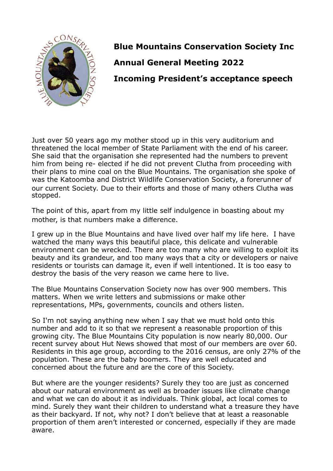

**Blue Mountains Conservation Society Inc Annual General Meeting 2022 Incoming President's acceptance speech**

Just over 50 years ago my mother stood up in this very auditorium and threatened the local member of State Parliament with the end of his career. She said that the organisation she represented had the numbers to prevent him from being re- elected if he did not prevent Clutha from proceeding with their plans to mine coal on the Blue Mountains. The organisation she spoke of was the Katoomba and District Wildlife Conservation Society, a forerunner of our current Society. Due to their efforts and those of many others Clutha was stopped.

The point of this, apart from my little self indulgence in boasting about my mother, is that numbers make a difference.

I grew up in the Blue Mountains and have lived over half my life here. I have watched the many ways this beautiful place, this delicate and vulnerable environment can be wrecked. There are too many who are willing to exploit its beauty and its grandeur, and too many ways that a city or developers or naive residents or tourists can damage it, even if well intentioned. It is too easy to destroy the basis of the very reason we came here to live.

The Blue Mountains Conservation Society now has over 900 members. This matters. When we write letters and submissions or make other representations, MPs, governments, councils and others listen.

So I'm not saying anything new when I say that we must hold onto this number and add to it so that we represent a reasonable proportion of this growing city. The Blue Mountains City population is now nearly 80,000. Our recent survey about Hut News showed that most of our members are over 60. Residents in this age group, according to the 2016 census, are only 27% of the population. These are the baby boomers. They are well educated and concerned about the future and are the core of this Society.

But where are the younger residents? Surely they too are just as concerned about our natural environment as well as broader issues like climate change and what we can do about it as individuals. Think global, act local comes to mind. Surely they want their children to understand what a treasure they have as their backyard. If not, why not? I don't believe that at least a reasonable proportion of them aren't interested or concerned, especially if they are made aware.